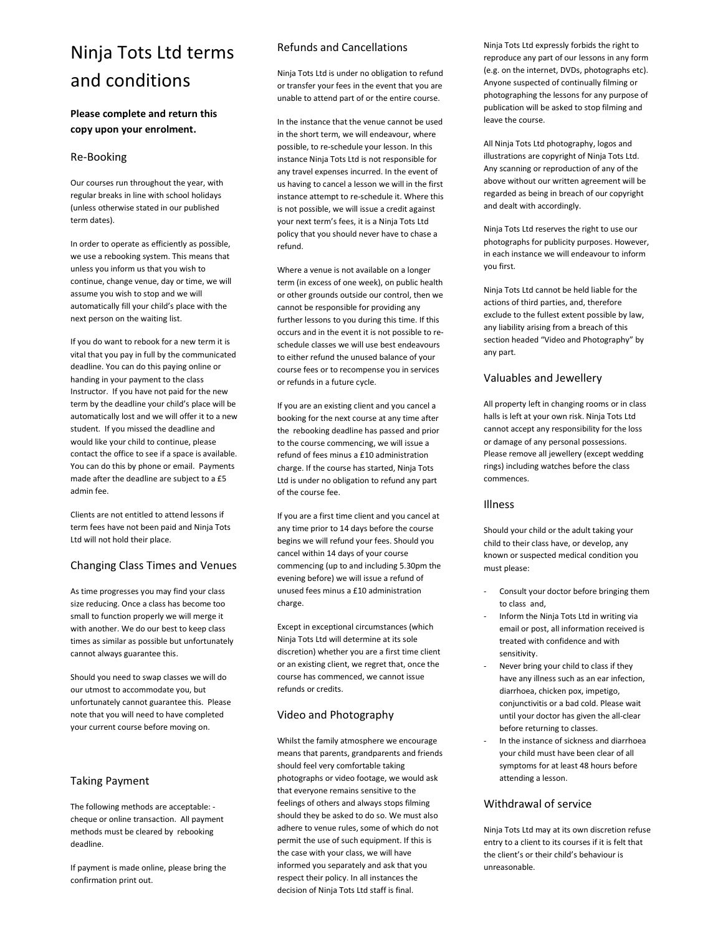# Ninja Tots Ltd terms and conditions

# Please complete and return this copy upon your enrolment.

# Re-Booking

Our courses run throughout the year, with regular breaks in line with school holidays (unless otherwise stated in our published term dates).

In order to operate as efficiently as possible, we use a rebooking system. This means that unless you inform us that you wish to continue, change venue, day or time, we will assume you wish to stop and we will automatically fill your child's place with the next person on the waiting list.

If you do want to rebook for a new term it is vital that you pay in full by the communicated deadline. You can do this paying online or handing in your payment to the class Instructor. If you have not paid for the new term by the deadline your child's place will be automatically lost and we will offer it to a new student. If you missed the deadline and would like your child to continue, please contact the office to see if a space is available. You can do this by phone or email. Payments made after the deadline are subject to a £5 admin fee.

Clients are not entitled to attend lessons if term fees have not been paid and Ninja Tots Ltd will not hold their place.

# Changing Class Times and Venues

As time progresses you may find your class size reducing. Once a class has become too small to function properly we will merge it with another. We do our best to keep class times as similar as possible but unfortunately cannot always guarantee this.

Should you need to swap classes we will do our utmost to accommodate you, but unfortunately cannot guarantee this. Please note that you will need to have completed your current course before moving on.

# Taking Payment

The following methods are acceptable: cheque or online transaction. All payment methods must be cleared by rebooking deadline.

If payment is made online, please bring the confirmation print out.

# Refunds and Cancellations

Ninja Tots Ltd is under no obligation to refund or transfer your fees in the event that you are unable to attend part of or the entire course.

In the instance that the venue cannot be used in the short term, we will endeavour, where possible, to re-schedule your lesson. In this instance Ninja Tots Ltd is not responsible for any travel expenses incurred. In the event of us having to cancel a lesson we will in the first instance attempt to re-schedule it. Where this is not possible, we will issue a credit against your next term's fees, it is a Ninja Tots Ltd policy that you should never have to chase a refund.

Where a venue is not available on a longer term (in excess of one week), on public health or other grounds outside our control, then we cannot be responsible for providing any further lessons to you during this time. If this occurs and in the event it is not possible to reschedule classes we will use best endeavours to either refund the unused balance of your course fees or to recompense you in services or refunds in a future cycle.

If you are an existing client and you cancel a booking for the next course at any time after the rebooking deadline has passed and prior to the course commencing, we will issue a refund of fees minus a £10 administration charge. If the course has started, Ninja Tots Ltd is under no obligation to refund any part of the course fee.

If you are a first time client and you cancel at any time prior to 14 days before the course begins we will refund your fees. Should you cancel within 14 days of your course commencing (up to and including 5.30pm the evening before) we will issue a refund of unused fees minus a £10 administration charge.

Except in exceptional circumstances (which Ninja Tots Ltd will determine at its sole discretion) whether you are a first time client or an existing client, we regret that, once the course has commenced, we cannot issue refunds or credits.

# Video and Photography

Whilst the family atmosphere we encourage means that parents, grandparents and friends should feel very comfortable taking photographs or video footage, we would ask that everyone remains sensitive to the feelings of others and always stops filming should they be asked to do so. We must also adhere to venue rules, some of which do not permit the use of such equipment. If this is the case with your class, we will have informed you separately and ask that you respect their policy. In all instances the decision of Ninja Tots Ltd staff is final.

Ninja Tots Ltd expressly forbids the right to reproduce any part of our lessons in any form (e.g. on the internet, DVDs, photographs etc). Anyone suspected of continually filming or photographing the lessons for any purpose of publication will be asked to stop filming and leave the course.

All Ninja Tots Ltd photography, logos and illustrations are copyright of Ninja Tots Ltd. Any scanning or reproduction of any of the above without our written agreement will be regarded as being in breach of our copyright and dealt with accordingly.

Ninja Tots Ltd reserves the right to use our photographs for publicity purposes. However, in each instance we will endeavour to inform you first.

Ninja Tots Ltd cannot be held liable for the actions of third parties, and, therefore exclude to the fullest extent possible by law, any liability arising from a breach of this section headed "Video and Photography" by any part.

# Valuables and Jewellery

All property left in changing rooms or in class halls is left at your own risk. Ninja Tots Ltd cannot accept any responsibility for the loss or damage of any personal possessions. Please remove all jewellery (except wedding rings) including watches before the class commences.

# Illness

Should your child or the adult taking your child to their class have, or develop, any known or suspected medical condition you must please:

- Consult your doctor before bringing them to class and,
- Inform the Ninja Tots Ltd in writing via email or post, all information received is treated with confidence and with sensitivity.
- Never bring your child to class if they have any illness such as an ear infection, diarrhoea, chicken pox, impetigo, conjunctivitis or a bad cold. Please wait until your doctor has given the all-clear before returning to classes.
- In the instance of sickness and diarrhoea your child must have been clear of all symptoms for at least 48 hours before attending a lesson.

# Withdrawal of service

Ninja Tots Ltd may at its own discretion refuse entry to a client to its courses if it is felt that the client's or their child's behaviour is unreasonable.